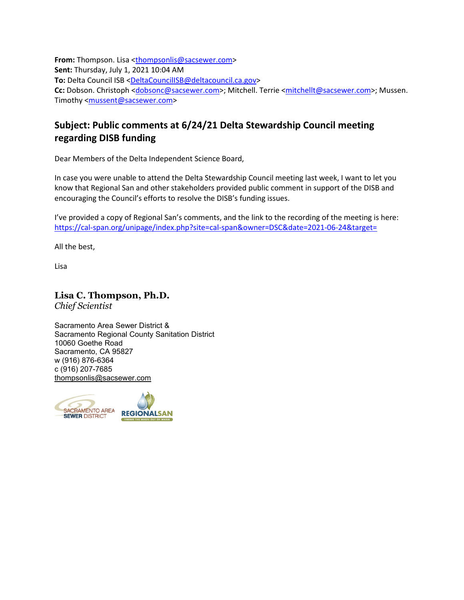**From:** Thompson. Lisa [<thompsonlis@sacsewer.com>](mailto:thompsonlis@sacsewer.com) **Sent:** Thursday, July 1, 2021 10:04 AM **To:** Delta Council ISB [<DeltaCouncilISB@deltacouncil.ca.gov>](mailto:DeltaCouncilISB@deltacouncil.ca.gov) Cc: Dobson. Christoph [<dobsonc@sacsewer.com>](mailto:dobsonc@sacsewer.com); Mitchell. Terrie [<mitchellt@sacsewer.com>](mailto:mitchellt@sacsewer.com); Mussen. Timothy [<mussent@sacsewer.com>](mailto:mussent@sacsewer.com)

## **Subject: Public comments at 6/24/21 Delta Stewardship Council meeting regarding DISB funding**

Dear Members of the Delta Independent Science Board,

In case you were unable to attend the Delta Stewardship Council meeting last week, I want to let you know that Regional San and other stakeholders provided public comment in support of the DISB and encouraging the Council's efforts to resolve the DISB's funding issues.

I've provided a copy of Regional San's comments, and the link to the recording of the meeting is here: <https://cal-span.org/unipage/index.php?site=cal-span&owner=DSC&date=2021-06-24&target=>

All the best,

Lisa

**Lisa C. Thompson, Ph.D.** *Chief Scientist*

Sacramento Area Sewer District & Sacramento Regional County Sanitation District 10060 Goethe Road Sacramento, CA 95827 w (916) 876-6364 c (916) 207-7685 [thompsonlis@sacsewer.com](mailto:thompsonlis@sacsewer.com)